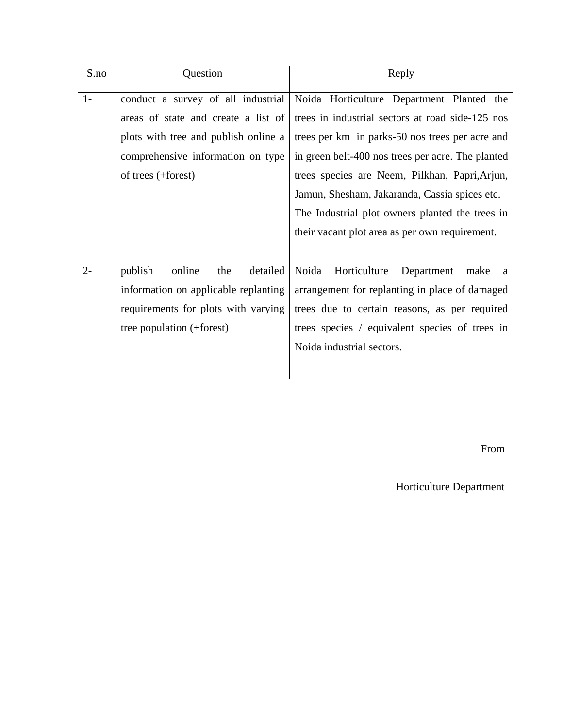| S.no  | Question                                                                               | Reply                                            |  |  |  |  |  |  |
|-------|----------------------------------------------------------------------------------------|--------------------------------------------------|--|--|--|--|--|--|
| $1-$  | conduct a survey of all industrial                                                     | Noida Horticulture Department Planted the        |  |  |  |  |  |  |
|       | areas of state and create a list of                                                    | trees in industrial sectors at road side-125 nos |  |  |  |  |  |  |
|       | plots with tree and publish online a                                                   | trees per km in parks-50 nos trees per acre and  |  |  |  |  |  |  |
|       | comprehensive information on type<br>in green belt-400 nos trees per acre. The planted |                                                  |  |  |  |  |  |  |
|       | of trees (+forest)                                                                     | trees species are Neem, Pilkhan, Papri, Arjun,   |  |  |  |  |  |  |
|       |                                                                                        | Jamun, Shesham, Jakaranda, Cassia spices etc.    |  |  |  |  |  |  |
|       |                                                                                        | The Industrial plot owners planted the trees in  |  |  |  |  |  |  |
|       |                                                                                        | their vacant plot area as per own requirement.   |  |  |  |  |  |  |
|       |                                                                                        |                                                  |  |  |  |  |  |  |
| $2 -$ | publish<br>online<br>detailed<br>the                                                   | Noida<br>Horticulture<br>Department<br>make<br>a |  |  |  |  |  |  |
|       | information on applicable replanting                                                   | arrangement for replanting in place of damaged   |  |  |  |  |  |  |
|       | requirements for plots with varying                                                    | trees due to certain reasons, as per required    |  |  |  |  |  |  |
|       | tree population (+forest)                                                              | trees species / equivalent species of trees in   |  |  |  |  |  |  |
|       |                                                                                        | Noida industrial sectors.                        |  |  |  |  |  |  |
|       |                                                                                        |                                                  |  |  |  |  |  |  |

From

Horticulture Department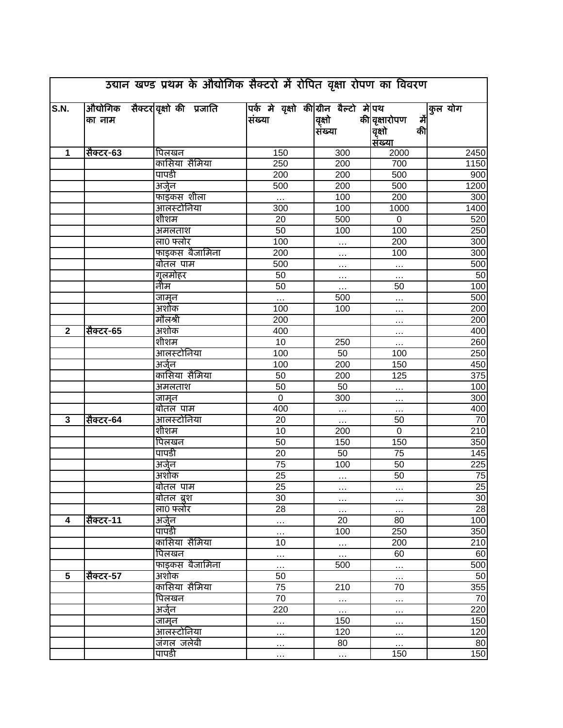| उद्यान खण्ड प्रथम के औद्योगिक सैक्टरों में रोपित वृक्षा रोपण का विवरण |           |  |                                    |                                                |                   |                                                              |                  |
|-----------------------------------------------------------------------|-----------|--|------------------------------------|------------------------------------------------|-------------------|--------------------------------------------------------------|------------------|
| S.N.                                                                  | का नाम    |  | औद्योगिक सैक्टर वृक्षों की प्रजाति | पर्क मे वृक्षो की ग्रीन बैल्टो मे पथ<br>संख्या | वृक्षो<br> संख्या | की <mark> वृक्षारोपण</mark><br>में<br>की<br>वृक्षो<br>संख्या | कुल योग          |
| 1                                                                     | सैक्टर-63 |  | पिलखन                              | 150                                            | 300               | 2000                                                         | 2450             |
|                                                                       |           |  | कासिया सैमिया                      | 250                                            | $\overline{200}$  | 700                                                          | 1150             |
|                                                                       |           |  | पापडी                              | 200                                            | 200               | 500                                                          | 900              |
|                                                                       |           |  | अर्जुन                             | 500                                            | 200               | 500                                                          | 1200             |
|                                                                       |           |  | फाइंकस शीला                        | $\ldots$                                       | 100               | 200                                                          | 300              |
|                                                                       |           |  | आंलस्टोनिया                        | 300                                            | 100               | 1000                                                         | 1400             |
|                                                                       |           |  | शीशम                               | 20                                             | 500               | $\overline{0}$                                               | 520              |
|                                                                       |           |  | अमलताश                             | $\overline{50}$                                | 100               | 100                                                          | 250              |
|                                                                       |           |  | ला0 फ्लोर                          | 100                                            |                   | 200                                                          | 300              |
|                                                                       |           |  | फाइकस बैजामिना                     | 200                                            |                   | 100                                                          | 300              |
|                                                                       |           |  | बोतल पाम                           | 500                                            | $\cdots$          |                                                              | 500              |
|                                                                       |           |  |                                    | 50                                             | $\cdots$          | $\cdots$                                                     | 50               |
|                                                                       |           |  | <u>गुलमोहर</u><br>नीम              | 50                                             | $\cdots$          | $\cdots$                                                     |                  |
|                                                                       |           |  |                                    |                                                | $\ldots$          | 50                                                           | 100              |
|                                                                       |           |  | <u>जामुन</u><br>अशोक               |                                                | 500               | $\ldots$                                                     | 500              |
|                                                                       |           |  |                                    | 100                                            | 100               | $\ldots$                                                     | 200              |
|                                                                       |           |  | मौलश्री                            | 200                                            |                   | $\ldots$                                                     | 200              |
| $\mathbf{2}$                                                          | सैक्टर-65 |  | अशोक                               | 400                                            |                   | $\ldots$                                                     | 400              |
|                                                                       |           |  | शीशम                               | 10                                             | 250               | $\ldots$                                                     | 260              |
|                                                                       |           |  | आलस्टोनिया                         | 100                                            | 50                | 100                                                          | 250              |
|                                                                       |           |  | अर्जुन                             | 100                                            | $\overline{200}$  | 150                                                          | 450              |
|                                                                       |           |  | कासिया सैमिया                      | 50                                             | $\overline{200}$  | 125                                                          | 375              |
|                                                                       |           |  | अमलताश                             | 50                                             | 50                | $\cdots$                                                     | 100              |
|                                                                       |           |  | जामून                              | $\overline{0}$                                 | 300               | $\cdots$                                                     | 300              |
|                                                                       |           |  | बोतल पाम                           | 400                                            | $\ddotsc$         | $\cdots$                                                     | 400              |
| 3                                                                     | सैक्टर-64 |  | आलस्टोनिया                         | 20                                             | .                 | 50                                                           | 70               |
|                                                                       |           |  | शीशम                               | 10                                             | 200               | $\overline{0}$                                               | $\overline{210}$ |
|                                                                       |           |  | पिलखन                              | 50                                             | 150               | 150                                                          | 350              |
|                                                                       |           |  | पापडी                              | 20                                             | 50                | 75                                                           | 145              |
|                                                                       |           |  | अर्जुन                             | 75                                             | 100               | 50                                                           | $\overline{225}$ |
|                                                                       |           |  | अशोक                               | $\overline{25}$                                | $\cdots$          | 50                                                           | $\overline{75}$  |
|                                                                       |           |  | <u>बोतल पाम</u>                    | 25                                             |                   |                                                              | 25               |
|                                                                       |           |  | बोतल ब्रश                          | 30                                             | $\cdots$          | $\cdots$                                                     | 30               |
|                                                                       |           |  | ला0 फ्लोर                          | 28                                             | $\cdots$          | $\cdots$                                                     | 28               |
| 4                                                                     | सैक्टर-11 |  | अर्जुन                             |                                                | 20                | 80                                                           | 100              |
|                                                                       |           |  | पापडी                              | $\cdots$                                       | 100               | 250                                                          | 350              |
|                                                                       |           |  | कासिया सैमिया                      | 10                                             | $\cdots$          | 200                                                          | 210              |
|                                                                       |           |  | पिलखन                              | $\cdots$                                       | $\ldots$          | 60                                                           | 60               |
|                                                                       |           |  | फाइकस बैजामिना                     | $\ldots$                                       | 500               | $\dddot{\cdot}$                                              | 500              |
| 5                                                                     | सैक्टर-57 |  | अशोक                               | 50                                             |                   | $\ldots$                                                     | 50               |
|                                                                       |           |  | कासिया सैमिया                      | 75                                             | 210               | 70                                                           | 355              |
|                                                                       |           |  | पिलखन                              | 70                                             | $\cdots$          | $\ldots$                                                     | 70               |
|                                                                       |           |  | अर्जुन                             | $\overline{220}$                               | $\ldots$          | $\cdots$                                                     | 220              |
|                                                                       |           |  | जामून                              | $\cdots$                                       | 150               | $\cdots$                                                     | 150              |
|                                                                       |           |  | आलस्टोनिया                         | $\cdots$                                       | 120               | $\cdots$                                                     | 120              |
|                                                                       |           |  | जंगल जलेबी                         | $\cdots$                                       | 80                | $\cdots$                                                     | 80               |
|                                                                       |           |  | पापडी                              | $\cdots$                                       | .                 | 150                                                          | 150              |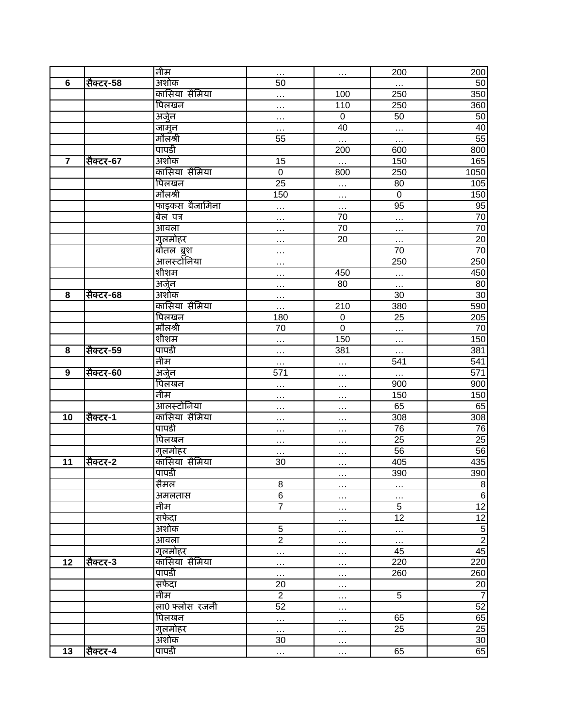|                         |           | नीम            | $\cdots$        | $\cdots$         | 200             | 200              |
|-------------------------|-----------|----------------|-----------------|------------------|-----------------|------------------|
| 6                       | सैक्टर-58 | अशोक           | 50              |                  | $\ldots$        | 50               |
|                         |           | कासिया सैमिया  | .               | 100              | 250             | 350              |
|                         |           | पिलखन          | $\cdots$        | 110              | 250             | 360              |
|                         |           | अर्जुन         | $\cdots$        | $\boldsymbol{0}$ | 50              | 50               |
|                         |           | <u>जामुन</u>   | $\ddotsc$       | 40               | $\ldots$        | 40               |
|                         |           | मौलश्री        | 55              | $\ldots$         | $\cdots$        | 55               |
|                         |           | पापडी          |                 | $\overline{200}$ | 600             | 800              |
| $\overline{\mathbf{r}}$ | सैक्टर-67 | अशोक           | 15              | $\ddotsc$        | 150             | 165              |
|                         |           | कासिया सैमिया  | $\overline{0}$  | 800              | 250             | 1050             |
|                         |           | पिलखन          | $\overline{25}$ | .                | 80              | 105              |
|                         |           | मौलश्री        | 150             | $\cdots$         | $\pmb{0}$       | 150              |
|                         |           | फाइकस बैजामिना | .               | $\cdots$         | 95              | 95               |
|                         |           | बेल पत्र       | .               | 70               | $\cdots$        | 70               |
|                         |           | आवला           | $\cdots$        | 70               | $\cdots$        | $\overline{70}$  |
|                         |           | गुलमोहर        | $\cdots$        | 20               | $\cdots$        | 20               |
|                         |           | बोतल ब्रुश     | $\cdots$        |                  | 70              | 70               |
|                         |           | आलस्टोनिया     | .               |                  | 250             | 250              |
|                         |           | शीशम           | .               | 450              | $\cdots$        | 450              |
|                         |           | अर्जुन         | .               | $\overline{80}$  | $\ddotsc$       | 80               |
| 8                       | सैक्टर-68 | अशोक           | $\cdots$        |                  | 30              | 30               |
|                         |           | कासिया सैमिया  | .               | 210              | 380             | 590              |
|                         |           | पिलखन          | 180             | $\boldsymbol{0}$ | $\overline{25}$ | 205              |
|                         |           | मौलश्री        | 70              | $\overline{0}$   | $\cdots$        | $\overline{70}$  |
|                         |           | शीशम           | $\cdots$        | 150              | $\cdots$        | 150              |
| 8                       | सैक्टर-59 | पापडी          | .               | 381              | $\cdots$        | 381              |
|                         |           | नीम            | $\cdots$        | $\cdots$         | 541             | 541              |
| 9                       | सैक्टर-60 | अर्जुन         | 571             | $\cdots$         | $\ldots$        | 571              |
|                         |           | पिलखन          |                 | $\cdots$         | 900             | 900              |
|                         |           | नीम            |                 | $\cdots$         | 150             | 150              |
|                         |           | आलस्टोनिया     | $\cdots$        | $\cdots$         | 65              | 65               |
| 10                      | सैक्टर-1  | कासिया सैमिया  | $\cdots$        | $\cdots$         | 308             | 308              |
|                         |           | पापडी          | $\cdots$        | $\cdots$         | $\overline{76}$ | $\overline{76}$  |
|                         |           | पिलखन          | $\cdots$        | .                | 25              | $\overline{25}$  |
|                         |           | गुलमोहर        | $\cdots$        | $\cdots$         | $\overline{56}$ | 56               |
| 11                      | सैक्टर-2  | कासिया सैमिया  | 30              | $\cdots$         | 405             | 435              |
|                         |           | पापडी          |                 | $\cdots$         | 390             | 390              |
|                         |           | सैमल           | 8               | $\cdots$         | $\cdots$        | $\boldsymbol{8}$ |
|                         |           | अमलतास         | $\overline{6}$  | $\cdots$         | $\cdots$        | $6\,$            |
|                         |           | नीम            | $\overline{7}$  | $\cdots$         | $\overline{5}$  | $\overline{12}$  |
|                         |           | सफेदा          |                 | $\cdots$         | $\overline{12}$ | $\frac{12}{2}$   |
|                         |           | अशोक           | $\overline{5}$  | $\cdots$         | $\cdots$        |                  |
|                         |           | आवला           | $\overline{2}$  | $\cdots$         | $\ldots$        |                  |
|                         |           | गुलमोहर        | $\cdots$        | $\cdots$         | 45              | 45               |
| 12                      | सैक्टर-3  | कासिया सैमिया  | $\cdots$        | $\cdots$         | 220             | 220              |
|                         |           | पापडी          | $\cdots$        | $\cdots$         | 260             | 260              |
|                         |           | सफेदा          | 20              | $\cdots$         |                 | $\overline{20}$  |
|                         |           | नीम            | $\overline{2}$  | $\cdots$         | $\overline{5}$  | $\overline{7}$   |
|                         |           | ला0 फ्लोस रजनी | 52              | $\cdots$         |                 | 52               |
|                         |           | पिलखन          | $\cdots$        | $\cdots$         | 65              | 65               |
|                         |           | गुलमोहर        | $\cdots$        | $\cdots$         | 25              | 25               |
|                         |           | अशोक           | 30              | $\cdots$         |                 | 30               |
| 13                      | सैक्टर-4  | पापडी          | $\ldots$        | $\cdots$         | 65              | 65               |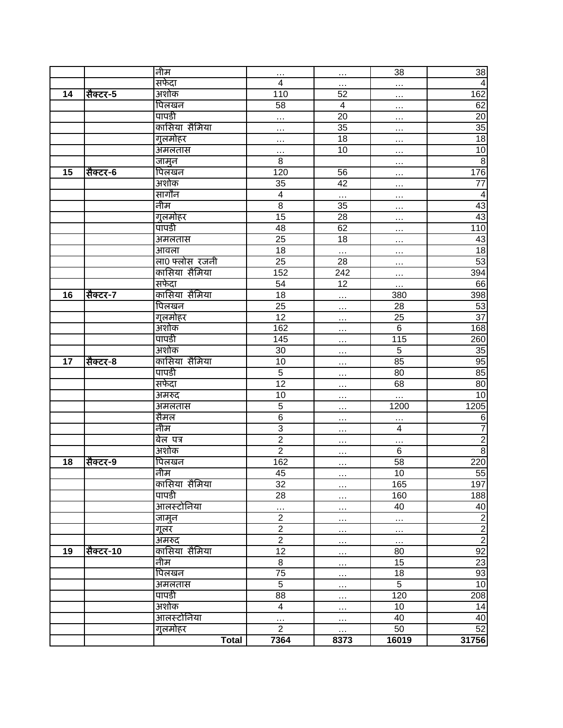|    |           | नीम                | $\cdots$                | $\cdots$                | $\overline{38}$ | 38                                             |
|----|-----------|--------------------|-------------------------|-------------------------|-----------------|------------------------------------------------|
|    |           | सफेदा              | $\overline{\mathbf{4}}$ | .                       | $\ddotsc$       | $\overline{4}$                                 |
| 14 | सैक्टर-5  | अशोक               | 110                     | 52                      | $\cdots$        | 162                                            |
|    |           | पिलखन              | $\overline{58}$         | $\overline{\mathbf{4}}$ | $\cdots$        | 62                                             |
|    |           | पापडी              | .                       | 20                      | $\cdots$        | 20                                             |
|    |           | कासिया सैमिया      | .                       | 35                      | $\cdots$        | 35                                             |
|    |           | गुलमोहर            | $\cdots$                | $\overline{18}$         | $\cdots$        | $\overline{18}$                                |
|    |           | अमलतास             | .                       | 10                      | $\cdots$        | 10                                             |
|    |           | जामून              | 8                       |                         | $\cdots$        | $\overline{8}$                                 |
| 15 | सैक्टर-6  | पिलखन              | 120                     | 56                      | $\cdots$        | 176                                            |
|    |           | अशोक               | 35                      | 42                      | $\cdots$        | $\overline{77}$                                |
|    |           | सागौन              | $\overline{\mathbf{4}}$ |                         | $\cdots$        | $\overline{4}$                                 |
|    |           | नीम                | $\overline{8}$          | $\overline{35}$         | $\cdots$        | 43                                             |
|    |           | गुलमोहर            | 15                      | 28                      | $\cdots$        | 43                                             |
|    |           | पापडी              | 48                      | 62                      | $\cdots$        | 110                                            |
|    |           | अमलतास             | $\overline{25}$         | $\overline{18}$         | $\cdots$        | 43                                             |
|    |           | आवला               | $\overline{18}$         | $\cdots$                | $\cdots$        | $\overline{18}$                                |
|    |           | ला0 फ्लोस रजनी     | 25                      | 28                      | $\cdots$        | 53                                             |
|    |           | कासिया सैमिया      | 152                     | 242                     | $\cdots$        | 394                                            |
|    |           | सफेदा              | $\overline{54}$         | $\overline{12}$         | $\cdots$        | 66                                             |
| 16 | सैक्टर-7  | कासिया सैमिया      | 18                      | $\cdots$                | 380             | 398                                            |
|    |           | पिलखन              | 25                      | $\cdots$                | 28              | 53                                             |
|    |           | गुलमोहर            | 12                      | $\cdots$                | 25              | $\overline{37}$                                |
|    |           | अशोक               | 162                     | $\cdots$                | 6               | 168                                            |
|    |           | पापडी              | 145                     | $\cdots$                | 115             | 260                                            |
|    |           | अशोक               | $\overline{30}$         | $\cdots$                | $\overline{5}$  | 35                                             |
| 17 | सैक्टर-8  | कासिया सैमिया      | 10                      | $\cdots$                | 85              | 95                                             |
|    |           | पापडी              | $\overline{5}$          | .                       | 80              | 85                                             |
|    |           | सफेदा              | $\overline{12}$         | $\ddotsc$               | 68              | $\overline{80}$                                |
|    |           | अमरुद              | 10                      | $\cdots$                | $\cdots$        | 10                                             |
|    |           | अमलतास             | 5                       | $\cdots$                | 1200            | 1205                                           |
|    |           | सैमल               | $\overline{6}$          | $\cdots$                | $\cdots$        | $\,6$                                          |
|    |           | नीम                | $\overline{3}$          | $\sim$                  | $\overline{4}$  | $\overline{7}$                                 |
|    |           | बेल पत्र           | $\overline{2}$          | .                       | $\cdots$        | $\frac{2}{8}$                                  |
|    |           | अशोक               | $\overline{2}$          | $\cdots$                | $\,6$           |                                                |
| 18 | सैक्टर-9  | पिलखन              | 162                     | $\cdots$                | 58              | 220                                            |
|    |           | नीम                | 45                      | $\cdots$                | 10              | 55                                             |
|    |           | कासिया सैमिया      | 32                      | $\cdots$                | 165             | 197                                            |
|    |           | पापडी              | $\overline{28}$         | .                       | 160             | 188                                            |
|    |           | <u>आल</u> स्टोनिया | $\ddotsc$               | $\cdots$                | 40              | 40                                             |
|    |           | जामुन              | $\overline{2}$          | $\cdots$                | $\ldots$        | $\frac{1}{2}$ $\infty$ $\left  \infty \right $ |
|    |           | गूलर               | $\overline{2}$          | $\cdots$                | $\cdots$        |                                                |
|    |           | अमरुद              | $\overline{2}$          | $\cdots$                | $\ldots$        |                                                |
| 19 | सैक्टर-10 | कासिया सैमिया      | 12                      | $\cdots$                | 80              |                                                |
|    |           | नीम                | $\overline{8}$          | $\cdots$                | 15              | 23                                             |
|    |           | पिलखन              | $\overline{75}$         | $\cdots$                | 18              | 93                                             |
|    |           | अमलतास             | $\overline{5}$          | $\cdots$                | $\overline{5}$  | $\overline{10}$                                |
|    |           | पापडी              | $\overline{88}$         | $\cdots$                | 120             | 208                                            |
|    |           | अशोक               | $\overline{\mathbf{4}}$ | $\cdots$                | 10              | 14                                             |
|    |           | आलस्टोनिया         | $\cdots$                | $\cdots$                | 40              | 40                                             |
|    |           | गुलमोहर            | $\overline{2}$          | $\cdots$                | 50              | 52                                             |
|    |           | <b>Total</b>       | 7364                    | 8373                    | 16019           | 31756                                          |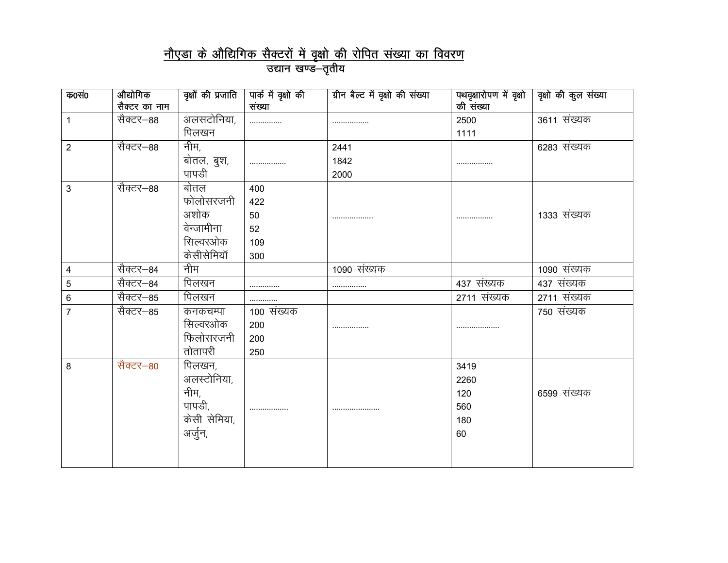## <u>नौएडा के औद्यिगिक सैक्टरों में वृक्षो की रोपित संख्या का विवरण</u>

<u>उद्यान खण्ड—तृतीय</u>

| क0सं0          | औद्योगिक      |              | वृक्षों की प्रजाति   पार्क में वृक्षो की | ग्रीन बैल्ट में वृक्षो की संख्या | पथवृक्षारोपण में वृक्षो | वृक्षो की कुल संख्या |
|----------------|---------------|--------------|------------------------------------------|----------------------------------|-------------------------|----------------------|
|                | सैक्टर का नाम |              | संख्या                                   |                                  | की संख्या               |                      |
| 1              | सैक्टर–88     | अलसटोनिया,   |                                          |                                  | 2500                    | 3611 संख्यक          |
|                |               | पिलखन        |                                          |                                  | 1111                    |                      |
| $\overline{2}$ | सैक्टर—88     | नीम,         |                                          | 2441                             |                         | 6283 संख्यक          |
|                |               | बोतल, बुश,   |                                          | 1842                             |                         |                      |
|                |               | पापडी        |                                          | 2000                             |                         |                      |
| 3              | सैक्टर—88     | बोतल         | 400                                      |                                  |                         |                      |
|                |               | फोलोसरजनी    | 422                                      |                                  |                         |                      |
|                |               | अशोक         | 50                                       |                                  |                         | 1333 संख्यक          |
|                |               | वेन्जामीना   | 52                                       |                                  |                         |                      |
|                |               | सिल्वरओक     | 109                                      |                                  |                         |                      |
|                |               | केसीसेमियॉ   | 300                                      |                                  |                         |                      |
| $\overline{4}$ | सैक्टर–84     | नीम          |                                          | 1090 संख्यक                      |                         | 1090 संख्यक          |
| 5              | सैक्टर–84     | पिलखन        | .                                        | .                                | 437 संख्यक              | 437 संख्यक           |
| $\,6$          | सैक्टर–85     | पिलखन        | .                                        |                                  | 2711 संख्यक             | 2711 संख्यक          |
| $\overline{7}$ | सैक्टर–85     | कनकचम्पा     | 100 संख्यक                               |                                  |                         | 750 संख्यक           |
|                |               | सिल्वरओक     | 200                                      |                                  |                         |                      |
|                |               | फिलोसरजनी    | 200                                      |                                  |                         |                      |
|                |               | तोतापरी      | 250                                      |                                  |                         |                      |
| 8              | सैक्टर–80     | पिलखन,       |                                          |                                  | 3419                    |                      |
|                |               | अलस्टोनिया,  |                                          |                                  | 2260                    |                      |
|                |               | नीम,         |                                          |                                  | 120                     | 6599 संख्यक          |
|                |               | पापडी,       |                                          |                                  | 560                     |                      |
|                |               | केसी सेमिया, |                                          |                                  | 180                     |                      |
|                |               | अर्जुन,      |                                          |                                  | 60                      |                      |
|                |               |              |                                          |                                  |                         |                      |
|                |               |              |                                          |                                  |                         |                      |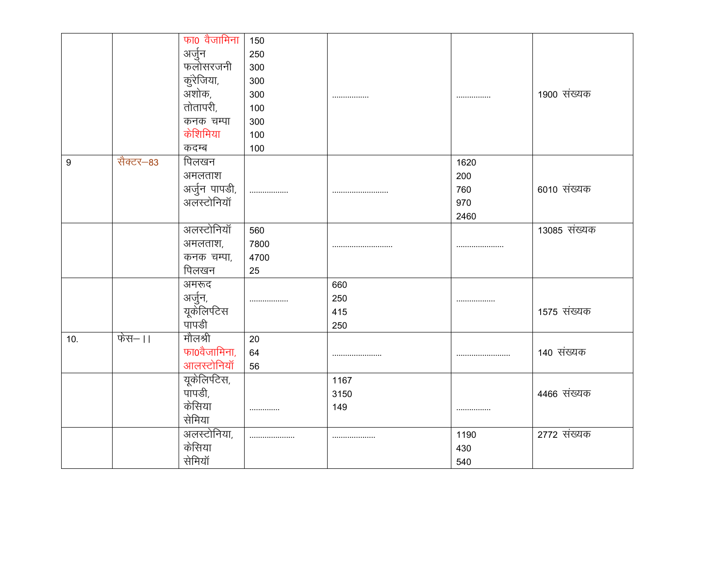|     |           | फा0 वैजामिना                   | 150  |      |      |              |
|-----|-----------|--------------------------------|------|------|------|--------------|
|     |           | अर्जुन                         | 250  |      |      |              |
|     |           | फलोसरजनी                       | 300  |      |      |              |
|     |           | कुरेजिया,                      | 300  |      |      |              |
|     |           | अशोक,                          | 300  |      |      | 1900 संख्यक  |
|     |           | तोतापरी,                       | 100  |      |      |              |
|     |           | कनक चम्पा                      | 300  |      |      |              |
|     |           | केशिमिया                       | 100  |      |      |              |
|     |           | कदम्ब                          | 100  |      |      |              |
| 9   | सैक्टर-83 | पिलखन                          |      |      | 1620 |              |
|     |           | अमलताश                         |      |      | 200  |              |
|     |           | अर्जुन पापडी,<br>अलस्टोनियॉ    |      |      | 760  | 6010 संख्यक  |
|     |           |                                |      |      | 970  |              |
|     |           |                                |      |      | 2460 |              |
|     |           | अलस्टोनियॉ                     | 560  |      |      | 13085 संख्यक |
|     |           | अमलताश,                        | 7800 |      |      |              |
|     |           | कनक चम्पा,                     | 4700 |      |      |              |
|     |           | पिलखन                          | 25   |      |      |              |
|     |           | अमरूद                          |      | 660  |      |              |
|     |           |                                |      | 250  |      |              |
|     |           | अर्जुन,<br>यूकेलिपटिस<br>पापडी |      | 415  |      | 1575 संख्यक  |
|     |           |                                |      | 250  |      |              |
| 10. | फेस–।।    | मौलश्री                        | 20   |      |      |              |
|     |           | फा0वैजामिना,                   | 64   |      |      | 140 संख्यक   |
|     |           | आलस्टोनियॉ                     | 56   |      |      |              |
|     |           | यूकेलिपटेस,                    |      | 1167 |      |              |
|     |           | पापडी,                         |      | 3150 |      | 4466 संख्यक  |
|     |           | केसिया                         |      | 149  |      |              |
|     |           | सेमिया                         |      |      |      |              |
|     |           | अलस्टोनिया,                    |      |      | 1190 | 2772 संख्यक  |
|     |           | केसिया                         |      |      | 430  |              |
|     |           | सेमियॉ                         |      |      | 540  |              |